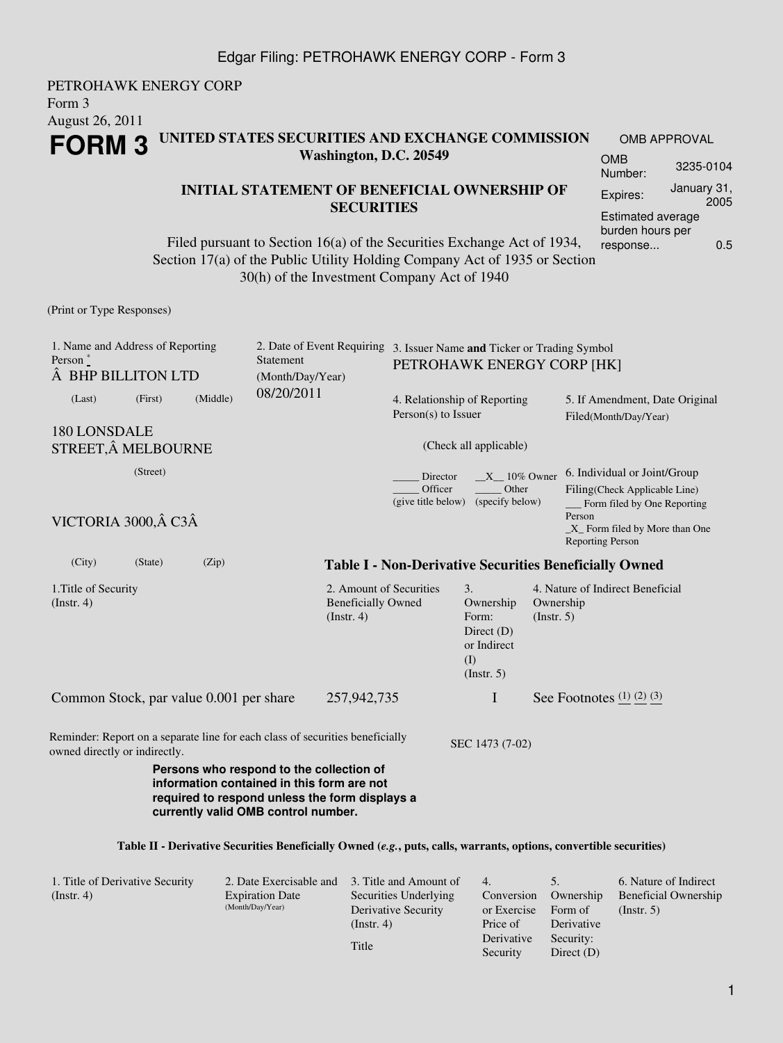### Edgar Filing: PETROHAWK ENERGY CORP - Form 3

#### PETROHAWK ENERGY CORP Form 3 August 26, 2011 **FORM 3 UNITED STATES SECURITIES AND EXCHANGE COMMISSION Washington, D.C. 20549** OMB APPROVAL OMB Number: 3235-0104

## **INITIAL STATEMENT OF BENEFICIAL OWNERSHIP OF SECURITIES**

Filed pursuant to Section 16(a) of the Securities Exchange Act of 1934, Section 17(a) of the Public Utility Holding Company Act of 1935 or Section 30(h) of the Investment Company Act of 1940

(Print or Type Responses)

| 1. Name and Address of Reporting<br>Person $*$<br>BHP BILLITON LTD                                             |          |          | Statement<br>(Month/Day/Year)                                                                                                                                                   |                                                                          | 2. Date of Event Requiring 3. Issuer Name and Ticker or Trading Symbol<br>PETROHAWK ENERGY CORP [HK] |                                                                                    |                          |                                                                                                                                                                      |  |
|----------------------------------------------------------------------------------------------------------------|----------|----------|---------------------------------------------------------------------------------------------------------------------------------------------------------------------------------|--------------------------------------------------------------------------|------------------------------------------------------------------------------------------------------|------------------------------------------------------------------------------------|--------------------------|----------------------------------------------------------------------------------------------------------------------------------------------------------------------|--|
| (Last)                                                                                                         | (First)  | (Middle) | 08/20/2011                                                                                                                                                                      |                                                                          | 4. Relationship of Reporting<br>Person(s) to Issuer                                                  |                                                                                    |                          | 5. If Amendment, Date Original<br>Filed(Month/Day/Year)                                                                                                              |  |
| 180 LONSDALE<br>STREET, Â MELBOURNE                                                                            |          |          |                                                                                                                                                                                 |                                                                          |                                                                                                      | (Check all applicable)                                                             |                          |                                                                                                                                                                      |  |
| VICTORIA 3000, Â C3Â                                                                                           | (Street) |          |                                                                                                                                                                                 |                                                                          | Director<br>Officer<br>(give title below)                                                            | $X = 10\%$ Owner<br>Other<br>(specify below)                                       |                          | 6. Individual or Joint/Group<br>Filing(Check Applicable Line)<br>Form filed by One Reporting<br>Person<br>$X$ Form filed by More than One<br><b>Reporting Person</b> |  |
| (City)                                                                                                         | (State)  | (Zip)    |                                                                                                                                                                                 |                                                                          | <b>Table I - Non-Derivative Securities Beneficially Owned</b>                                        |                                                                                    |                          |                                                                                                                                                                      |  |
| 1. Title of Security<br>$($ Instr. 4 $)$                                                                       |          |          |                                                                                                                                                                                 | 2. Amount of Securities<br><b>Beneficially Owned</b><br>$($ Instr. 4 $)$ |                                                                                                      | 3.<br>Ownership<br>Form:<br>Direct $(D)$<br>or Indirect<br>(I)<br>$($ Instr. 5 $)$ | Ownership<br>(Insert. 5) | 4. Nature of Indirect Beneficial                                                                                                                                     |  |
| Common Stock, par value 0.001 per share                                                                        |          |          |                                                                                                                                                                                 | 257,942,735                                                              |                                                                                                      | I                                                                                  |                          | See Footnotes $(1)$ $(2)$ $(3)$                                                                                                                                      |  |
| Reminder: Report on a separate line for each class of securities beneficially<br>owned directly or indirectly. |          |          |                                                                                                                                                                                 |                                                                          |                                                                                                      | SEC 1473 (7-02)                                                                    |                          |                                                                                                                                                                      |  |
|                                                                                                                |          |          | Persons who respond to the collection of<br>information contained in this form are not<br>required to respond unless the form displays a<br>currently valid OMB control number. |                                                                          |                                                                                                      |                                                                                    |                          |                                                                                                                                                                      |  |
|                                                                                                                |          |          |                                                                                                                                                                                 |                                                                          |                                                                                                      |                                                                                    |                          | Table II - Derivative Securities Beneficially Owned (e.g., puts, calls, warrants, options, convertible securities)                                                   |  |

| 1. Title of Derivative Security | 2. Date Exercisable and                    | 3. Title and Amount of | 4.          |              | 6. Nature of Indirect |
|---------------------------------|--------------------------------------------|------------------------|-------------|--------------|-----------------------|
| $($ Instr. 4 $)$                | <b>Expiration Date</b><br>(Month/Day/Year) | Securities Underlying  | Conversion  | Ownership    | Beneficial Ownership  |
|                                 |                                            | Derivative Security    | or Exercise | Form of      | $($ Instr. 5 $)$      |
|                                 |                                            | (Insert. 4)            | Price of    | Derivative   |                       |
|                                 |                                            |                        | Derivative  | Security:    |                       |
|                                 |                                            | Title                  | Security    | Direct $(D)$ |                       |

Expires: January 31,

Estimated average burden hours per response... 0.5

2005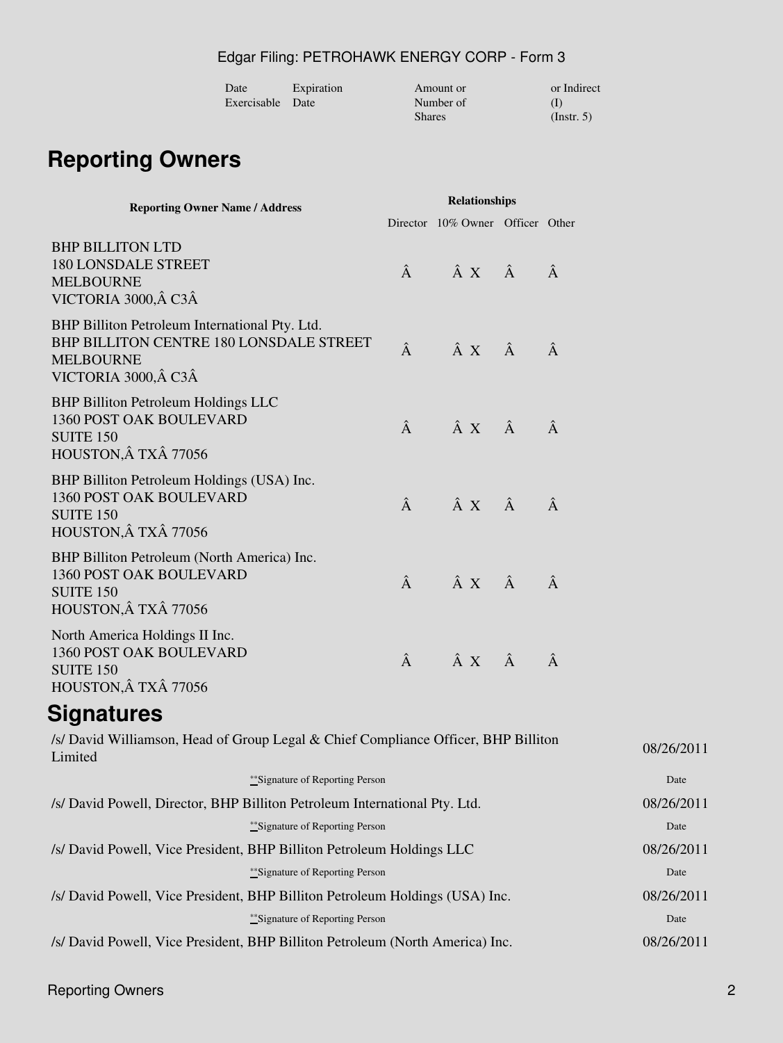# Edgar Filing: PETROHAWK ENERGY CORP - Form 3

| Date             | Expiration | Amount or     | or Indirect      |
|------------------|------------|---------------|------------------|
| Exercisable Date |            | Number of     |                  |
|                  |            | <b>Shares</b> | $($ Instr. 5 $)$ |

# **Reporting Owners**

| <b>Reporting Owner Name / Address</b>                                                                                                 |            | <b>Relationships</b>             |  |            |  |
|---------------------------------------------------------------------------------------------------------------------------------------|------------|----------------------------------|--|------------|--|
|                                                                                                                                       |            | Director 10% Owner Officer Other |  |            |  |
| <b>BHP BILLITON LTD</b><br><b>180 LONSDALE STREET</b><br><b>MELBOURNE</b><br>VICTORIA 3000, Â C3Â                                     | Â          | $\hat{A} \times \hat{A}$         |  | Â          |  |
| BHP Billiton Petroleum International Pty. Ltd.<br>BHP BILLITON CENTRE 180 LONSDALE STREET<br><b>MELBOURNE</b><br>VICTORIA 3000, Â C3Â | Â          | $\hat{A} \times \hat{A}$         |  | Â          |  |
| <b>BHP Billiton Petroleum Holdings LLC</b><br><b>1360 POST OAK BOULEVARD</b><br><b>SUITE 150</b><br>HOUSTON, Â TXÂ 77056              | Â          | $\hat{A} \times \hat{A}$         |  | Â          |  |
| BHP Billiton Petroleum Holdings (USA) Inc.<br>1360 POST OAK BOULEVARD<br><b>SUITE 150</b><br>HOUSTON, Â TXÂ 77056                     | Â          | $\hat{A} \times \hat{A}$         |  | Â          |  |
| BHP Billiton Petroleum (North America) Inc.<br>1360 POST OAK BOULEVARD<br><b>SUITE 150</b><br>HOUSTON, Â TXÂ 77056                    | Â          | $\hat{A} \times \hat{A}$         |  | Â          |  |
| North America Holdings II Inc.<br>1360 POST OAK BOULEVARD<br><b>SUITE 150</b><br>HOUSTON, Â TXÂ 77056                                 | Â          | $\hat{A} \times \hat{A}$         |  | Â          |  |
| <b>Signatures</b>                                                                                                                     |            |                                  |  |            |  |
| /s/ David Williamson, Head of Group Legal & Chief Compliance Officer, BHP Billiton<br>Limited                                         |            |                                  |  | 08/26/2011 |  |
| **Signature of Reporting Person                                                                                                       |            |                                  |  | Date       |  |
| /s/ David Powell, Director, BHP Billiton Petroleum International Pty. Ltd.                                                            | 08/26/2011 |                                  |  |            |  |
| ** Signature of Reporting Person                                                                                                      |            |                                  |  | Date       |  |
| /s/ David Powell, Vice President, BHP Billiton Petroleum Holdings LLC                                                                 | 08/26/2011 |                                  |  |            |  |
| ** Signature of Reporting Person                                                                                                      |            |                                  |  | Date       |  |
| /s/ David Powell, Vice President, BHP Billiton Petroleum Holdings (USA) Inc.                                                          |            |                                  |  | 08/26/2011 |  |
| ** Signature of Reporting Person                                                                                                      |            |                                  |  | Date       |  |
| /s/ David Powell, Vice President, BHP Billiton Petroleum (North America) Inc.                                                         |            |                                  |  |            |  |